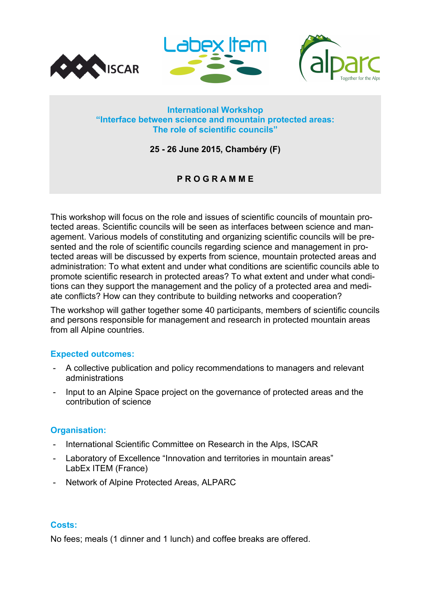

## **International Workshop "Interface between science and mountain protected areas: The role of scientific councils"**

**25 - 26 June 2015, Chambéry (F)**

# **P R O G R A M M E**

This workshop will focus on the role and issues of scientific councils of mountain protected areas. Scientific councils will be seen as interfaces between science and management. Various models of constituting and organizing scientific councils will be presented and the role of scientific councils regarding science and management in protected areas will be discussed by experts from science, mountain protected areas and administration: To what extent and under what conditions are scientific councils able to promote scientific research in protected areas? To what extent and under what conditions can they support the management and the policy of a protected area and mediate conflicts? How can they contribute to building networks and cooperation?

The workshop will gather together some 40 participants, members of scientific councils and persons responsible for management and research in protected mountain areas from all Alpine countries.

## **Expected outcomes:**

- A collective publication and policy recommendations to managers and relevant administrations
- Input to an Alpine Space project on the governance of protected areas and the contribution of science

## **Organisation:**

- International Scientific Committee on Research in the Alps, ISCAR
- Laboratory of Excellence "Innovation and territories in mountain areas" LabEx ITEM (France)
- Network of Alpine Protected Areas, ALPARC

## **Costs:**

No fees; meals (1 dinner and 1 lunch) and coffee breaks are offered.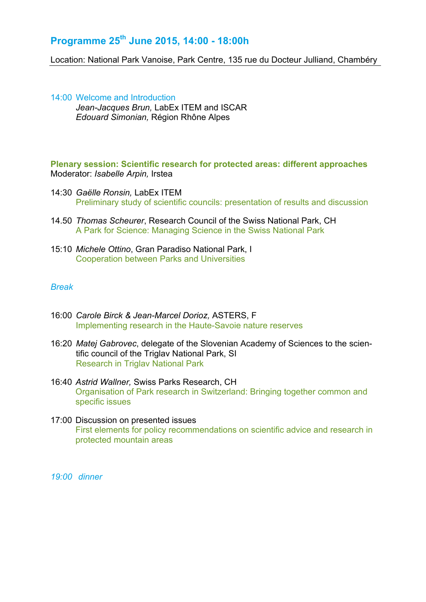# **Programme 25th June 2015, 14:00 - 18:00h**

Location: National Park Vanoise, Park Centre, 135 rue du Docteur Julliand, Chambéry

14:00 Welcome and Introduction *Jean-Jacques Brun,* LabEx ITEM and ISCAR *Edouard Simonian,* Région Rhône Alpes

**Plenary session: Scientific research for protected areas: different approaches**  Moderator: *Isabelle Arpin,* Irstea

- 14:30 *Gaëlle Ronsin,* LabEx ITEM Preliminary study of scientific councils: presentation of results and discussion
- 14.50 *Thomas Scheurer*, Research Council of the Swiss National Park, CH A Park for Science: Managing Science in the Swiss National Park
- 15:10 *Michele Ottino*, Gran Paradiso National Park, I Cooperation between Parks and Universities

## *Break*

- 16:00 *Carole Birck & Jean-Marcel Dorioz,* ASTERS, F Implementing research in the Haute-Savoie nature reserves
- 16:20 *Matej Gabrovec*, delegate of the Slovenian Academy of Sciences to the scientific council of the Triglav National Park, SI Research in Triglav National Park
- 16:40 *Astrid Wallner,* Swiss Parks Research, CH Organisation of Park research in Switzerland: Bringing together common and specific issues
- 17:00 Discussion on presented issues First elements for policy recommendations on scientific advice and research in protected mountain areas

*19:00 dinner*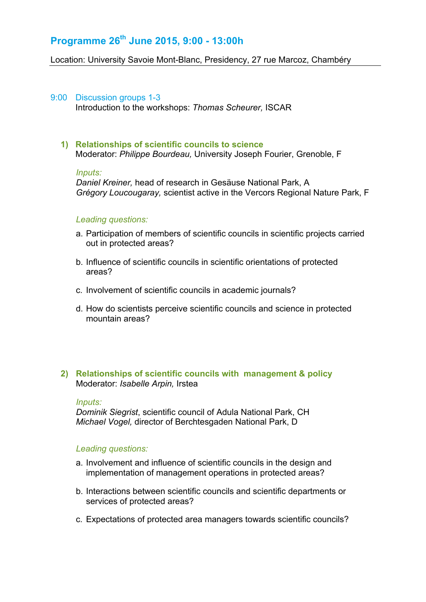# **Programme 26th June 2015, 9:00 - 13:00h**

Location: University Savoie Mont-Blanc, Presidency, 27 rue Marcoz, Chambéry

#### 9:00 Discussion groups 1-3

Introduction to the workshops: *Thomas Scheurer,* ISCAR

## **1) Relationships of scientific councils to science**

Moderator: *Philippe Bourdeau,* University Joseph Fourier, Grenoble, F

#### *Inputs:*

*Daniel Kreiner,* head of research in Gesäuse National Park, A *Grégory Loucougaray,* scientist active in the Vercors Regional Nature Park, F

## *Leading questions:*

- a. Participation of members of scientific councils in scientific projects carried out in protected areas?
- b. Influence of scientific councils in scientific orientations of protected areas?
- c. Involvement of scientific councils in academic journals?
- d. How do scientists perceive scientific councils and science in protected mountain areas?

## **2) Relationships of scientific councils with management & policy** Moderator: *Isabelle Arpin,* Irstea

#### *Inputs:*

*Dominik Siegrist*, scientific council of Adula National Park, CH *Michael Vogel,* director of Berchtesgaden National Park, D

#### *Leading questions:*

- a. Involvement and influence of scientific councils in the design and implementation of management operations in protected areas?
- b. Interactions between scientific councils and scientific departments or services of protected areas?
- c. Expectations of protected area managers towards scientific councils?